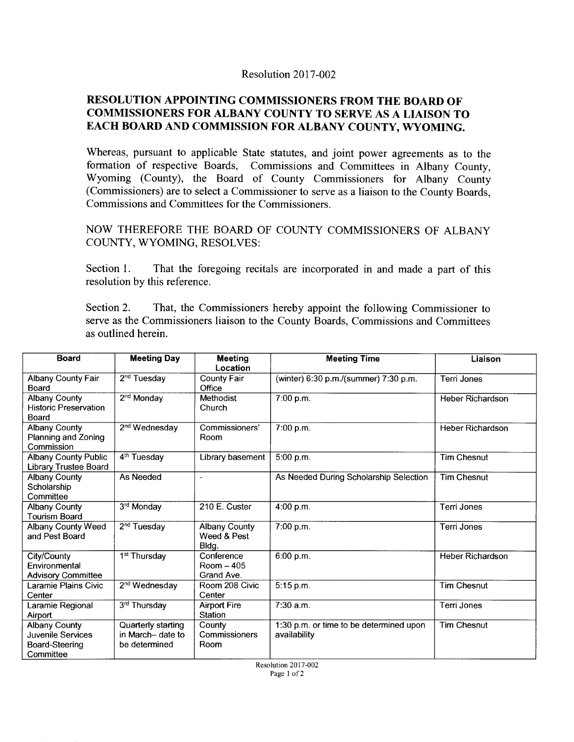## Resolution 2017-002

## **RESOLUTION APPOINTING COMMISSIONERS FROM THE BOARD OF COMMISSIONERS FOR ALBANY COUNTY TO SERVE** AS A **LIAISON TO EACH BOARD AND COMMISSION FOR ALBANY COUNTY, WYOMING.**

Whereas, pursuant to applicable State statutes, and joint power agreements as to the formation of respective Boards, Commissions and Committees in Albany County, Wyoming (County), the Board of County Commissioners for Albany County (Commissioners) are to select a Commissioner to serve as a liaison to the County Boards, Commissions and Committees for the Commissioners.

NOW THEREFORE THE BOARD OF COUNTY COMMISSIONERS OF ALBANY COUNTY, WYOMING, RESOLVES:

Section 1. That the foregoing recitals are incorporated in and made a part of this resolution by this reference.

Section 2. That, the Commissioners hereby appoint the following Commissioner to serve as the Commissioners liaison to the County Boards, Commissions and Committees as outlined herein.

| <b>Board</b>                                                             | <b>Meeting Day</b>                                       | <b>Meeting</b><br>Location                   | <b>Meeting Time</b>                                     | Liaison                 |
|--------------------------------------------------------------------------|----------------------------------------------------------|----------------------------------------------|---------------------------------------------------------|-------------------------|
| Albany County Fair<br><b>Board</b>                                       | 2 <sup>nd</sup> Tuesday                                  | <b>County Fair</b><br>Office                 | (winter) 6:30 p.m./(summer) 7:30 p.m.                   | Terri Jones             |
| <b>Albany County</b><br><b>Historic Preservation</b><br>Board            | 2 <sup>nd</sup> Monday                                   | Methodist<br>Church                          | 7:00 p.m.                                               | Heber Richardson        |
| <b>Albany County</b><br>Planning and Zoning<br>Commission                | 2 <sup>nd</sup> Wednesday                                | Commissioners'<br>Room                       | 7:00 p.m.                                               | <b>Heber Richardson</b> |
| <b>Albany County Public</b><br>Library Trustee Board                     | $\overline{4^{th}}$ Tuesday                              | Library basement                             | 5:00 p.m.                                               | <b>Tim Chesnut</b>      |
| <b>Albany County</b><br>Scholarship<br>Committee                         | As Needed                                                | $\overline{\phantom{a}}$                     | As Needed During Scholarship Selection                  | <b>Tim Chesnut</b>      |
| <b>Albany County</b><br>Tourism Board                                    | 3rd Monday                                               | 210 E. Custer                                | 4:00 p.m.                                               | <b>Terri Jones</b>      |
| Albany County Weed<br>and Pest Board                                     | 2 <sup>nd</sup> Tuesday                                  | <b>Albany County</b><br>Weed & Pest<br>Bldg. | 7:00 p.m.                                               | Terri Jones             |
| City/County<br>Environmental<br><b>Advisory Committee</b>                | 1 <sup>st</sup> Thursday                                 | Conference<br>$Room - 405$<br>Grand Ave.     | 6:00 p.m.                                               | <b>Heber Richardson</b> |
| Laramie Plains Civic<br>Center                                           | 2 <sup>nd</sup> Wednesday                                | Room 208 Civic<br>Center                     | 5:15 p.m.                                               | <b>Tim Chesnut</b>      |
| Laramie Regional<br>Airport                                              | 3rd Thursday                                             | <b>Airport Fire</b><br>Station               | $7:30$ a.m.                                             | Terri Jones             |
| <b>Albany County</b><br>Juvenile Services<br>Board-Steering<br>Committee | Quarterly starting<br>in March- date to<br>be determined | County<br>Commissioners<br>Room              | 1:30 p.m. or time to be determined upon<br>availability | <b>Tim Chesnut</b>      |